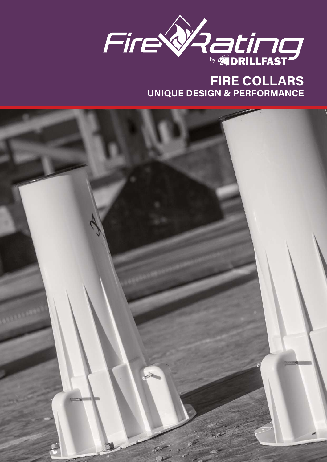

## **FIRE COLLARS UNIQUE DESIGN & PERFORMANCE**

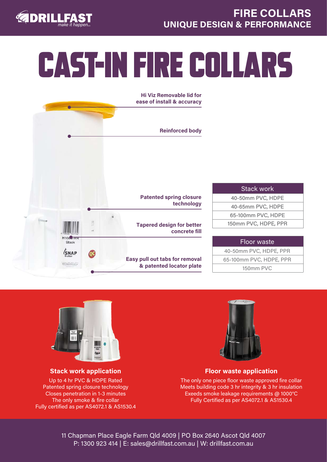

## CAST-IN FIRE COLLARS





**Stack work application** Up to 4 hr PVC & HDPE Rated Patented spring closure technology Closes penetration in 1-3 minutes The only smoke & fire collar Fully certified as per AS4072.1 & AS1530.4



### **Floor waste application**

The only one piece floor waste approved fire collar Meets building code 3 hr integrity & 3 hr insulation Exeeds smoke leakage requirements @ 1000°C Fully Certified as per AS4072.1 & AS1530.4

11 Chapman Place Eagle Farm Qld 4009 | PO Box 2640 Ascot Qld 4007 P: 1300 923 414 | E: sales@drillfast.com.au | W: drillfast.com.au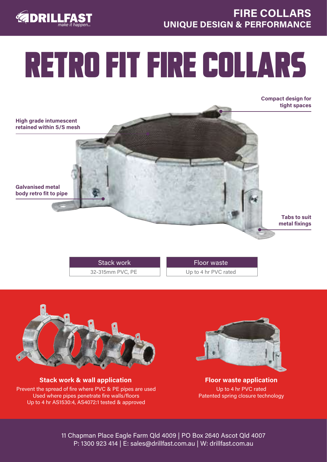



# RETRO FIT FIRE COLLARS

**Compact design for tight spaces** 

**High grade intumescent retained within S/S mesh** 

**body retro fit to pipe** 

**Galvanised metal** 

**Tabs to suit metal fixings**

32-315mm PVC, PE Stack work

Up to 4 hr PVC rated Floor waste



**Stack work & wall application** Prevent the spread of fire where PVC & PE pipes are used Used where pipes penetrate fire walls/floors Up to 4 hr AS1530:4, AS4072:1 tested & approved



**Floor waste application** Up to 4 hr PVC rated Patented spring closure technology

11 Chapman Place Eagle Farm Qld 4009 | PO Box 2640 Ascot Qld 4007 P: 1300 923 414 | E: sales@drillfast.com.au | W: drillfast.com.au